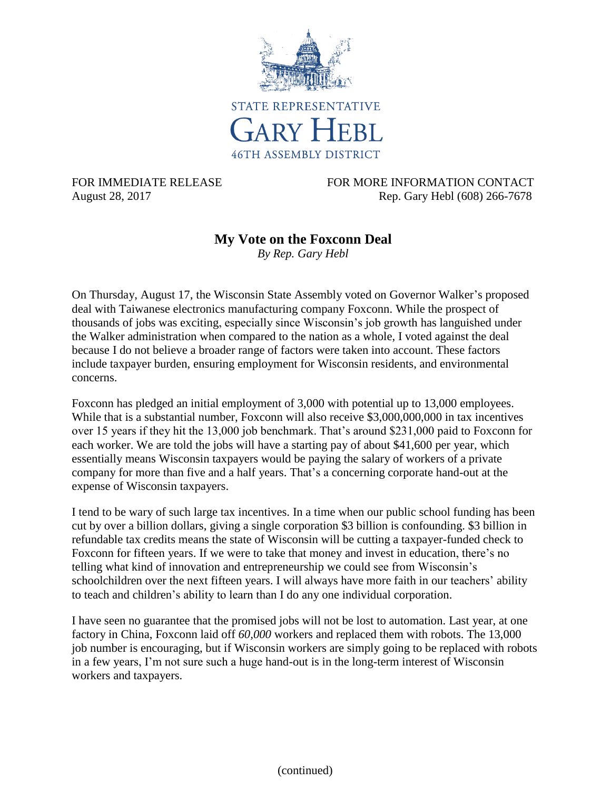

FOR IMMEDIATE RELEASE FOR MORE INFORMATION CONTACT August 28, 2017 Rep. Gary Hebl (608) 266-7678

## **My Vote on the Foxconn Deal**

*By Rep. Gary Hebl*

On Thursday, August 17, the Wisconsin State Assembly voted on Governor Walker's proposed deal with Taiwanese electronics manufacturing company Foxconn. While the prospect of thousands of jobs was exciting, especially since Wisconsin's job growth has languished under the Walker administration when compared to the nation as a whole, I voted against the deal because I do not believe a broader range of factors were taken into account. These factors include taxpayer burden, ensuring employment for Wisconsin residents, and environmental concerns.

Foxconn has pledged an initial employment of 3,000 with potential up to 13,000 employees. While that is a substantial number, Foxconn will also receive \$3,000,000,000 in tax incentives over 15 years if they hit the 13,000 job benchmark. That's around \$231,000 paid to Foxconn for each worker. We are told the jobs will have a starting pay of about \$41,600 per year, which essentially means Wisconsin taxpayers would be paying the salary of workers of a private company for more than five and a half years. That's a concerning corporate hand-out at the expense of Wisconsin taxpayers.

I tend to be wary of such large tax incentives. In a time when our public school funding has been cut by over a billion dollars, giving a single corporation \$3 billion is confounding. \$3 billion in refundable tax credits means the state of Wisconsin will be cutting a taxpayer-funded check to Foxconn for fifteen years. If we were to take that money and invest in education, there's no telling what kind of innovation and entrepreneurship we could see from Wisconsin's schoolchildren over the next fifteen years. I will always have more faith in our teachers' ability to teach and children's ability to learn than I do any one individual corporation.

I have seen no guarantee that the promised jobs will not be lost to automation. Last year, at one factory in China, Foxconn laid off *60,000* workers and replaced them with robots. The 13,000 job number is encouraging, but if Wisconsin workers are simply going to be replaced with robots in a few years, I'm not sure such a huge hand-out is in the long-term interest of Wisconsin workers and taxpayers.